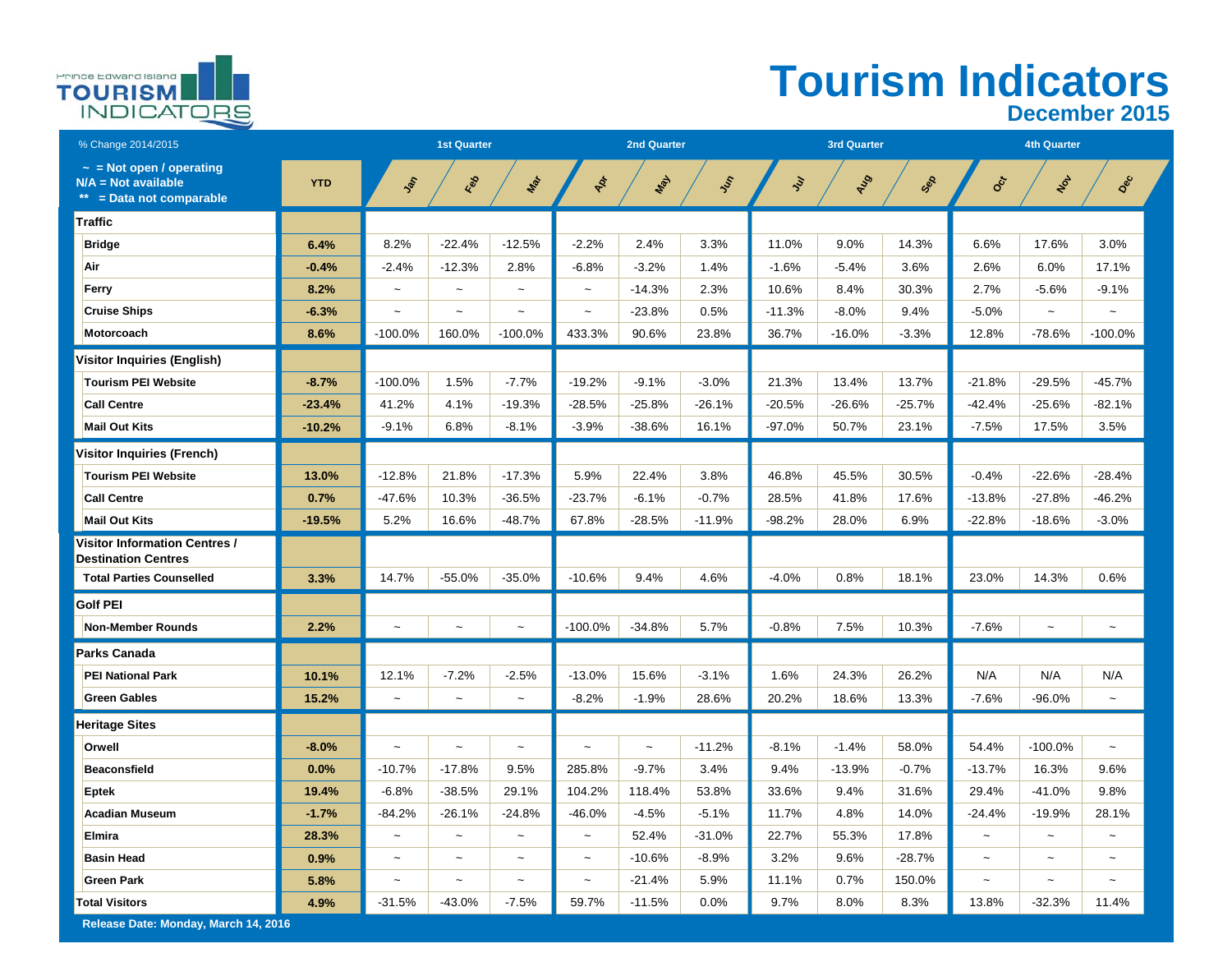

## **Tourism Indicators December 2015**

| % Change 2014/2015                                                              |            |                           | <b>1st Quarter</b>    |                           |                       | <b>2nd Quarter</b> |          |          | <b>3rd Quarter</b> |          |            | <b>4th Quarter</b> |            |
|---------------------------------------------------------------------------------|------------|---------------------------|-----------------------|---------------------------|-----------------------|--------------------|----------|----------|--------------------|----------|------------|--------------------|------------|
| $\sim$ = Not open / operating<br>$N/A = Not available$<br>= Data not comparable | <b>YTD</b> | $\hat{\mathcal{E}}$       | Feb                   | Max                       | ADT                   | Way                | Jen      | ş        | Aug                | SOS      | $O_C^*$    | $v_{o}$            | Dec        |
| Traffic                                                                         |            |                           |                       |                           |                       |                    |          |          |                    |          |            |                    |            |
| <b>Bridge</b>                                                                   | 6.4%       | 8.2%                      | $-22.4%$              | $-12.5%$                  | $-2.2%$               | 2.4%               | 3.3%     | 11.0%    | 9.0%               | 14.3%    | 6.6%       | 17.6%              | 3.0%       |
| Air                                                                             | $-0.4%$    | $-2.4%$                   | $-12.3%$              | 2.8%                      | $-6.8%$               | $-3.2%$            | 1.4%     | $-1.6%$  | $-5.4%$            | 3.6%     | 2.6%       | 6.0%               | 17.1%      |
| Ferry                                                                           | 8.2%       | $\sim$                    | $\tilde{}$            | $\tilde{}$                | $\sim$                | $-14.3%$           | 2.3%     | 10.6%    | 8.4%               | 30.3%    | 2.7%       | $-5.6%$            | $-9.1%$    |
| <b>Cruise Ships</b>                                                             | $-6.3%$    |                           | $\tilde{\phantom{a}}$ |                           | $\sim$                | $-23.8%$           | 0.5%     | $-11.3%$ | $-8.0%$            | 9.4%     | $-5.0%$    | $\sim$             |            |
| Motorcoach                                                                      | 8.6%       | -100.0%                   | 160.0%                | $-100.0%$                 | 433.3%                | 90.6%              | 23.8%    | 36.7%    | $-16.0%$           | $-3.3%$  | 12.8%      | $-78.6%$           | $-100.0\%$ |
| Visitor Inquiries (English)                                                     |            |                           |                       |                           |                       |                    |          |          |                    |          |            |                    |            |
| <b>Tourism PEI Website</b>                                                      | $-8.7%$    | $-100.0%$                 | 1.5%                  | $-7.7%$                   | $-19.2%$              | $-9.1%$            | $-3.0%$  | 21.3%    | 13.4%              | 13.7%    | $-21.8%$   | $-29.5%$           | $-45.7%$   |
| <b>Call Centre</b>                                                              | $-23.4%$   | 41.2%                     | 4.1%                  | $-19.3%$                  | $-28.5%$              | $-25.8%$           | $-26.1%$ | $-20.5%$ | $-26.6%$           | $-25.7%$ | $-42.4%$   | $-25.6%$           | $-82.1%$   |
| <b>Mail Out Kits</b>                                                            | $-10.2%$   | $-9.1%$                   | 6.8%                  | $-8.1%$                   | $-3.9%$               | $-38.6%$           | 16.1%    | $-97.0%$ | 50.7%              | 23.1%    | $-7.5%$    | 17.5%              | 3.5%       |
| <b>Visitor Inquiries (French)</b>                                               |            |                           |                       |                           |                       |                    |          |          |                    |          |            |                    |            |
| <b>Tourism PEI Website</b>                                                      | 13.0%      | $-12.8%$                  | 21.8%                 | $-17.3%$                  | 5.9%                  | 22.4%              | 3.8%     | 46.8%    | 45.5%              | 30.5%    | $-0.4%$    | $-22.6%$           | $-28.4%$   |
| <b>Call Centre</b>                                                              | 0.7%       | $-47.6%$                  | 10.3%                 | $-36.5%$                  | $-23.7%$              | $-6.1%$            | $-0.7%$  | 28.5%    | 41.8%              | 17.6%    | $-13.8%$   | $-27.8%$           | $-46.2%$   |
| <b>Mail Out Kits</b>                                                            | $-19.5%$   | 5.2%                      | 16.6%                 | $-48.7%$                  | 67.8%                 | $-28.5%$           | $-11.9%$ | $-98.2%$ | 28.0%              | 6.9%     | $-22.8%$   | $-18.6%$           | $-3.0%$    |
| <b>Visitor Information Centres /</b><br><b>Destination Centres</b>              |            |                           |                       |                           |                       |                    |          |          |                    |          |            |                    |            |
| <b>Total Parties Counselled</b>                                                 | 3.3%       | 14.7%                     | $-55.0%$              | $-35.0%$                  | $-10.6%$              | 9.4%               | 4.6%     | $-4.0%$  | 0.8%               | 18.1%    | 23.0%      | 14.3%              | 0.6%       |
| <b>Golf PEI</b>                                                                 |            |                           |                       |                           |                       |                    |          |          |                    |          |            |                    |            |
| <b>Non-Member Rounds</b>                                                        | 2.2%       |                           | $\tilde{\phantom{a}}$ | $\tilde{\phantom{a}}$     | $-100.0%$             | $-34.8%$           | 5.7%     | $-0.8%$  | 7.5%               | 10.3%    | $-7.6%$    |                    |            |
| Parks Canada                                                                    |            |                           |                       |                           |                       |                    |          |          |                    |          |            |                    |            |
| <b>PEI National Park</b>                                                        | 10.1%      | 12.1%                     | $-7.2%$               | $-2.5%$                   | $-13.0%$              | 15.6%              | $-3.1%$  | 1.6%     | 24.3%              | 26.2%    | N/A        | N/A                | N/A        |
| <b>Green Gables</b>                                                             | 15.2%      | $\widetilde{\phantom{m}}$ | $\tilde{\phantom{a}}$ | $\widetilde{\phantom{m}}$ | $-8.2%$               | $-1.9%$            | 28.6%    | 20.2%    | 18.6%              | 13.3%    | $-7.6%$    | $-96.0%$           | $\tilde{}$ |
| <b>Heritage Sites</b>                                                           |            |                           |                       |                           |                       |                    |          |          |                    |          |            |                    |            |
| Orwell                                                                          | $-8.0%$    | $\sim$                    | $\tilde{}$            | $\widetilde{\phantom{m}}$ | $\sim$                | $\tilde{}$         | $-11.2%$ | $-8.1%$  | $-1.4%$            | 58.0%    | 54.4%      | $-100.0%$          | $\tilde{}$ |
| <b>Beaconsfield</b>                                                             | 0.0%       | $-10.7%$                  | $-17.8%$              | 9.5%                      | 285.8%                | $-9.7%$            | 3.4%     | 9.4%     | $-13.9%$           | $-0.7%$  | $-13.7%$   | 16.3%              | 9.6%       |
| <b>Eptek</b>                                                                    | 19.4%      | $-6.8%$                   | $-38.5%$              | 29.1%                     | 104.2%                | 118.4%             | 53.8%    | 33.6%    | 9.4%               | 31.6%    | 29.4%      | $-41.0%$           | 9.8%       |
| <b>Acadian Museum</b>                                                           | $-1.7%$    | $-84.2%$                  | $-26.1%$              | $-24.8%$                  | $-46.0%$              | $-4.5%$            | $-5.1%$  | 11.7%    | 4.8%               | 14.0%    | $-24.4%$   | $-19.9%$           | 28.1%      |
| Elmira                                                                          | 28.3%      | $\sim$                    | $\sim$                | $\sim$                    | $\sim$                | 52.4%              | $-31.0%$ | 22.7%    | 55.3%              | 17.8%    | $\sim$     | $\sim$             | $\sim$     |
| <b>Basin Head</b>                                                               | 0.9%       | $\sim$                    | $\sim$                | $\tilde{\phantom{a}}$     | $\sim$                | $-10.6%$           | $-8.9%$  | 3.2%     | 9.6%               | $-28.7%$ |            |                    |            |
| <b>Green Park</b>                                                               | 5.8%       | $\tilde{\phantom{a}}$     | $\tilde{}$            | $\widetilde{\phantom{m}}$ | $\tilde{\phantom{a}}$ | $-21.4%$           | 5.9%     | 11.1%    | 0.7%               | 150.0%   | $\tilde{}$ | $\tilde{}$         | $\tilde{}$ |
| <b>Total Visitors</b>                                                           | 4.9%       | $-31.5%$                  | $-43.0%$              | $-7.5%$                   | 59.7%                 | $-11.5%$           | 0.0%     | 9.7%     | 8.0%               | 8.3%     | 13.8%      | $-32.3%$           | 11.4%      |

**Release Date: Monday, March 14, 2016**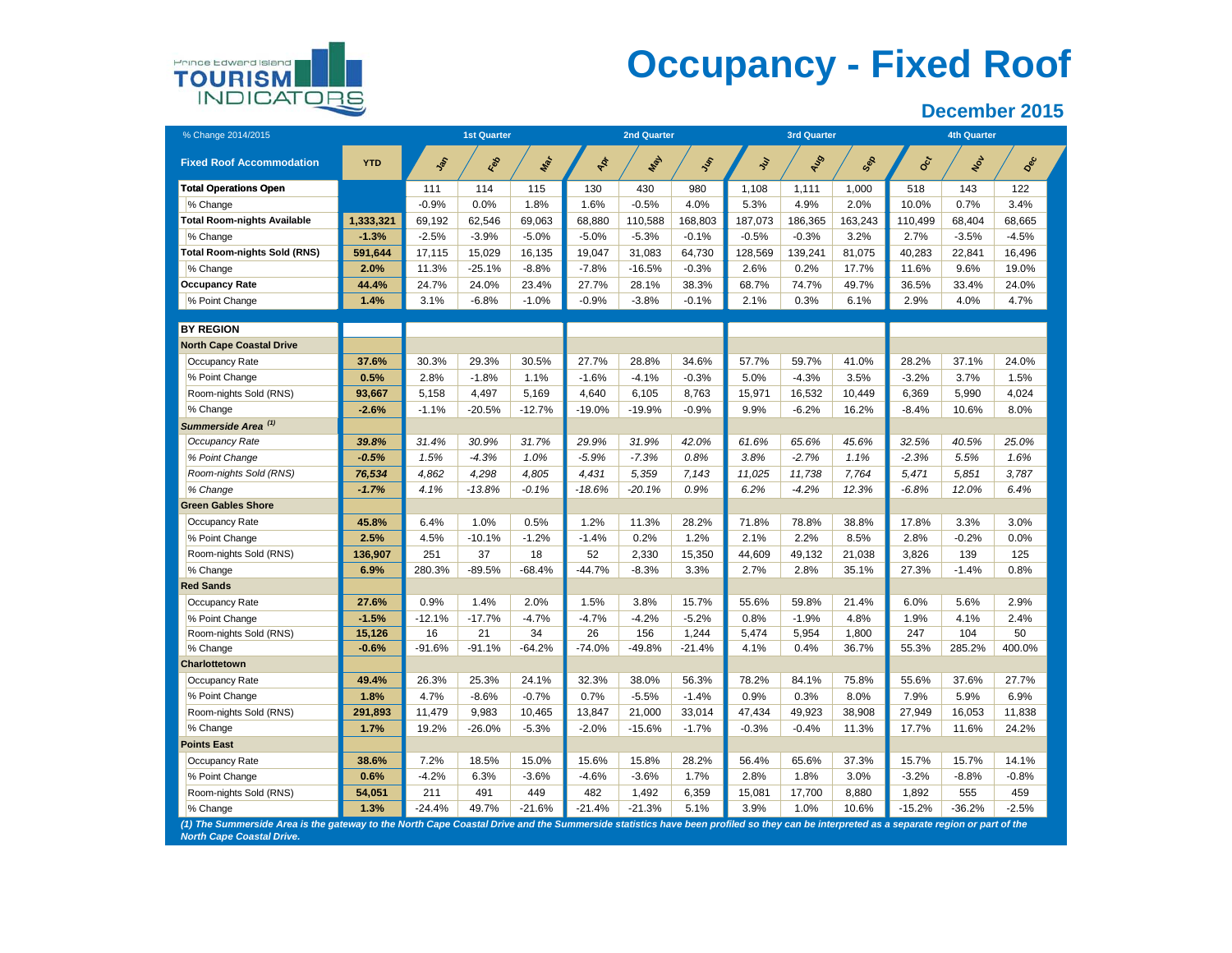

## **Occupancy - Fixed Roof**

| % Change 2014/2015                                                                                                                                                                                                         |            |            | <b>1st Quarter</b> |            |          | <b>2nd Quarter</b> |           |         | <b>3rd Quarter</b> |         |            | <b>4th Quarter</b> |         |
|----------------------------------------------------------------------------------------------------------------------------------------------------------------------------------------------------------------------------|------------|------------|--------------------|------------|----------|--------------------|-----------|---------|--------------------|---------|------------|--------------------|---------|
| <b>Fixed Roof Accommodation</b>                                                                                                                                                                                            | <b>YTD</b> | <b>Sol</b> | Les                | <b>May</b> | Apr      | Nay                | <b>SS</b> | ş       | AUS                | Sep     | <b>Oct</b> | $\bm{\dot{\xi}}$   | Dec     |
| <b>Total Operations Open</b>                                                                                                                                                                                               |            | 111        | 114                | 115        | 130      | 430                | 980       | 1,108   | 1,111              | 1,000   | 518        | 143                | 122     |
| % Change                                                                                                                                                                                                                   |            | $-0.9%$    | 0.0%               | 1.8%       | 1.6%     | $-0.5%$            | 4.0%      | 5.3%    | 4.9%               | 2.0%    | 10.0%      | 0.7%               | 3.4%    |
| <b>Total Room-nights Available</b>                                                                                                                                                                                         | 1,333,321  | 69,192     | 62,546             | 69,063     | 68,880   | 110,588            | 168,803   | 187,073 | 186,365            | 163,243 | 110,499    | 68,404             | 68,665  |
| % Change                                                                                                                                                                                                                   | $-1.3%$    | $-2.5%$    | $-3.9%$            | $-5.0%$    | $-5.0%$  | $-5.3%$            | $-0.1%$   | $-0.5%$ | $-0.3%$            | 3.2%    | 2.7%       | $-3.5%$            | $-4.5%$ |
| <b>Total Room-nights Sold (RNS)</b>                                                                                                                                                                                        | 591,644    | 17,115     | 15,029             | 16,135     | 19,047   | 31,083             | 64,730    | 128,569 | 139,241            | 81,075  | 40,283     | 22,841             | 16,496  |
| % Change                                                                                                                                                                                                                   | 2.0%       | 11.3%      | $-25.1%$           | $-8.8%$    | $-7.8%$  | $-16.5%$           | $-0.3%$   | 2.6%    | 0.2%               | 17.7%   | 11.6%      | 9.6%               | 19.0%   |
| <b>Occupancy Rate</b>                                                                                                                                                                                                      | 44.4%      | 24.7%      | 24.0%              | 23.4%      | 27.7%    | 28.1%              | 38.3%     | 68.7%   | 74.7%              | 49.7%   | 36.5%      | 33.4%              | 24.0%   |
| % Point Change                                                                                                                                                                                                             | 1.4%       | 3.1%       | $-6.8%$            | $-1.0%$    | $-0.9%$  | $-3.8%$            | $-0.1%$   | 2.1%    | 0.3%               | 6.1%    | 2.9%       | 4.0%               | 4.7%    |
| <b>BY REGION</b>                                                                                                                                                                                                           |            |            |                    |            |          |                    |           |         |                    |         |            |                    |         |
| <b>North Cape Coastal Drive</b>                                                                                                                                                                                            |            |            |                    |            |          |                    |           |         |                    |         |            |                    |         |
| Occupancy Rate                                                                                                                                                                                                             | 37.6%      | 30.3%      | 29.3%              | 30.5%      | 27.7%    | 28.8%              | 34.6%     | 57.7%   | 59.7%              | 41.0%   | 28.2%      | 37.1%              | 24.0%   |
| % Point Change                                                                                                                                                                                                             | 0.5%       | 2.8%       | $-1.8%$            | 1.1%       | $-1.6%$  | $-4.1%$            | $-0.3%$   | 5.0%    | $-4.3%$            | 3.5%    | $-3.2%$    | 3.7%               | 1.5%    |
| Room-nights Sold (RNS)                                                                                                                                                                                                     | 93,667     | 5,158      | 4,497              | 5,169      | 4,640    | 6,105              | 8,763     | 15,971  | 16,532             | 10,449  | 6,369      | 5,990              | 4,024   |
| % Change                                                                                                                                                                                                                   | $-2.6%$    | $-1.1%$    | $-20.5%$           | $-12.7%$   | $-19.0%$ | $-19.9%$           | $-0.9%$   | 9.9%    | $-6.2%$            | 16.2%   | $-8.4%$    | 10.6%              | 8.0%    |
| Summerside Area <sup>(1)</sup>                                                                                                                                                                                             |            |            |                    |            |          |                    |           |         |                    |         |            |                    |         |
| Occupancy Rate                                                                                                                                                                                                             | 39.8%      | 31.4%      | 30.9%              | 31.7%      | 29.9%    | 31.9%              | 42.0%     | 61.6%   | 65.6%              | 45.6%   | 32.5%      | 40.5%              | 25.0%   |
| % Point Change                                                                                                                                                                                                             | $-0.5%$    | 1.5%       | $-4.3%$            | 1.0%       | $-5.9%$  | $-7.3%$            | 0.8%      | 3.8%    | $-2.7%$            | 1.1%    | $-2.3%$    | 5.5%               | 1.6%    |
| Room-nights Sold (RNS)                                                                                                                                                                                                     | 76,534     | 4,862      | 4,298              | 4,805      | 4,431    | 5,359              | 7,143     | 11,025  | 11,738             | 7,764   | 5,471      | 5,851              | 3,787   |
| % Change                                                                                                                                                                                                                   | $-1.7%$    | 4.1%       | $-13.8%$           | $-0.1%$    | $-18.6%$ | $-20.1%$           | 0.9%      | 6.2%    | $-4.2%$            | 12.3%   | $-6.8%$    | 12.0%              | 6.4%    |
| <b>Green Gables Shore</b>                                                                                                                                                                                                  |            |            |                    |            |          |                    |           |         |                    |         |            |                    |         |
| Occupancy Rate                                                                                                                                                                                                             | 45.8%      | 6.4%       | 1.0%               | 0.5%       | 1.2%     | 11.3%              | 28.2%     | 71.8%   | 78.8%              | 38.8%   | 17.8%      | 3.3%               | 3.0%    |
| % Point Change                                                                                                                                                                                                             | 2.5%       | 4.5%       | $-10.1%$           | $-1.2%$    | $-1.4%$  | 0.2%               | 1.2%      | 2.1%    | 2.2%               | 8.5%    | 2.8%       | $-0.2%$            | 0.0%    |
| Room-nights Sold (RNS)                                                                                                                                                                                                     | 136,907    | 251        | 37                 | 18         | 52       | 2,330              | 15,350    | 44,609  | 49,132             | 21,038  | 3,826      | 139                | 125     |
| % Change                                                                                                                                                                                                                   | 6.9%       | 280.3%     | $-89.5%$           | $-68.4%$   | $-44.7%$ | $-8.3%$            | 3.3%      | 2.7%    | 2.8%               | 35.1%   | 27.3%      | $-1.4%$            | 0.8%    |
| <b>Red Sands</b>                                                                                                                                                                                                           |            |            |                    |            |          |                    |           |         |                    |         |            |                    |         |
| Occupancy Rate                                                                                                                                                                                                             | 27.6%      | 0.9%       | 1.4%               | 2.0%       | 1.5%     | 3.8%               | 15.7%     | 55.6%   | 59.8%              | 21.4%   | 6.0%       | 5.6%               | 2.9%    |
| % Point Change                                                                                                                                                                                                             | $-1.5%$    | $-12.1%$   | $-17.7%$           | $-4.7%$    | $-4.7%$  | $-4.2%$            | $-5.2%$   | 0.8%    | $-1.9%$            | 4.8%    | 1.9%       | 4.1%               | 2.4%    |
| Room-nights Sold (RNS)                                                                                                                                                                                                     | 15,126     | 16         | 21                 | 34         | 26       | 156                | 1,244     | 5,474   | 5,954              | 1,800   | 247        | 104                | 50      |
| % Change                                                                                                                                                                                                                   | $-0.6%$    | $-91.6%$   | $-91.1%$           | $-64.2%$   | $-74.0%$ | -49.8%             | $-21.4%$  | 4.1%    | 0.4%               | 36.7%   | 55.3%      | 285.2%             | 400.0%  |
| Charlottetown                                                                                                                                                                                                              |            |            |                    |            |          |                    |           |         |                    |         |            |                    |         |
| Occupancy Rate                                                                                                                                                                                                             | 49.4%      | 26.3%      | 25.3%              | 24.1%      | 32.3%    | 38.0%              | 56.3%     | 78.2%   | 84.1%              | 75.8%   | 55.6%      | 37.6%              | 27.7%   |
| % Point Change                                                                                                                                                                                                             | 1.8%       | 4.7%       | $-8.6%$            | $-0.7%$    | 0.7%     | $-5.5%$            | $-1.4%$   | 0.9%    | 0.3%               | 8.0%    | 7.9%       | 5.9%               | 6.9%    |
| Room-nights Sold (RNS)                                                                                                                                                                                                     | 291,893    | 11,479     | 9,983              | 10,465     | 13,847   | 21,000             | 33,014    | 47,434  | 49,923             | 38,908  | 27,949     | 16,053             | 11,838  |
| % Change                                                                                                                                                                                                                   | 1.7%       | 19.2%      | $-26.0%$           | $-5.3%$    | $-2.0%$  | $-15.6%$           | $-1.7%$   | $-0.3%$ | $-0.4%$            | 11.3%   | 17.7%      | 11.6%              | 24.2%   |
| <b>Points East</b>                                                                                                                                                                                                         |            |            |                    |            |          |                    |           |         |                    |         |            |                    |         |
| Occupancy Rate                                                                                                                                                                                                             | 38.6%      | 7.2%       | 18.5%              | 15.0%      | 15.6%    | 15.8%              | 28.2%     | 56.4%   | 65.6%              | 37.3%   | 15.7%      | 15.7%              | 14.1%   |
| % Point Change                                                                                                                                                                                                             | 0.6%       | $-4.2%$    | 6.3%               | $-3.6%$    | $-4.6%$  | $-3.6%$            | 1.7%      | 2.8%    | 1.8%               | 3.0%    | $-3.2%$    | $-8.8%$            | $-0.8%$ |
| Room-nights Sold (RNS)                                                                                                                                                                                                     | 54,051     | 211        | 491                | 449        | 482      | 1,492              | 6,359     | 15,081  | 17,700             | 8,880   | 1,892      | 555                | 459     |
| % Change                                                                                                                                                                                                                   | 1.3%       | $-24.4%$   | 49.7%              | $-21.6%$   | $-21.4%$ | $-21.3%$           | 5.1%      | 3.9%    | 1.0%               | 10.6%   | $-15.2%$   | $-36.2%$           | $-2.5%$ |
| (1) The Summerside Area is the gateway to the North Cape Coastal Drive and the Summerside statistics have been profiled so they can be interpreted as a separate region or part of the<br><b>North Cape Coastal Drive.</b> |            |            |                    |            |          |                    |           |         |                    |         |            |                    |         |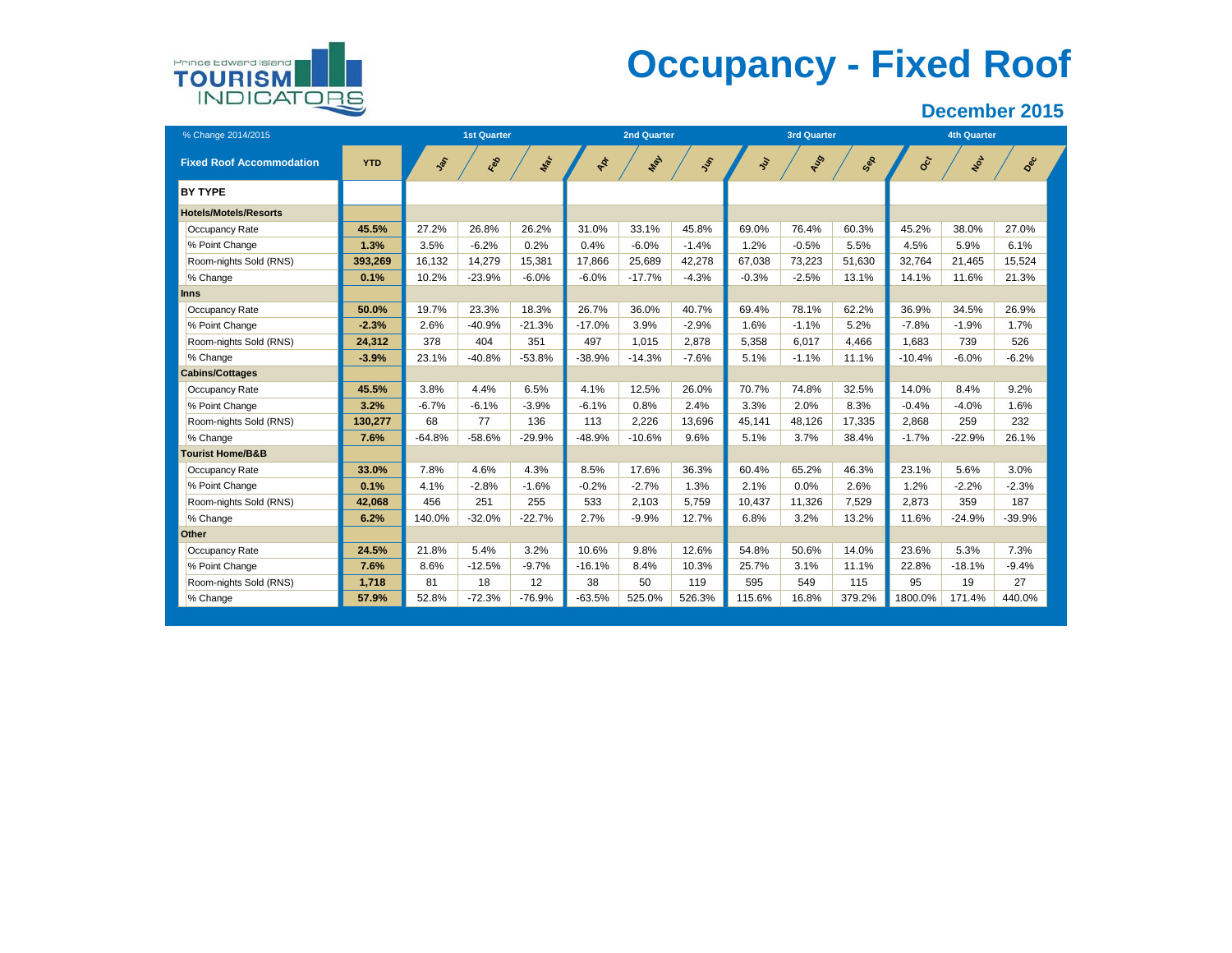

# **Occupancy - Fixed Roof**

| % Change 2014/2015              |            |           | <b>1st Quarter</b> |          |          | <b>2nd Quarter</b> |          |            | <b>3rd Quarter</b> |        | <b>4th Quarter</b>        |          |          |  |
|---------------------------------|------------|-----------|--------------------|----------|----------|--------------------|----------|------------|--------------------|--------|---------------------------|----------|----------|--|
| <b>Fixed Roof Accommodation</b> | <b>YTD</b> | <b>SP</b> | Feb                | Mar      | Apr      | Max                | $J_{ij}$ | <b>Ser</b> | ALS                | Sep    | $\mathbf{e}_{\mathbf{c}}$ | Not      | Dec      |  |
| <b>BY TYPE</b>                  |            |           |                    |          |          |                    |          |            |                    |        |                           |          |          |  |
| <b>Hotels/Motels/Resorts</b>    |            |           |                    |          |          |                    |          |            |                    |        |                           |          |          |  |
| Occupancy Rate                  | 45.5%      | 27.2%     | 26.8%              | 26.2%    | 31.0%    | 33.1%              | 45.8%    | 69.0%      | 76.4%              | 60.3%  | 45.2%                     | 38.0%    | 27.0%    |  |
| % Point Change                  | 1.3%       | 3.5%      | $-6.2%$            | 0.2%     | 0.4%     | $-6.0%$            | $-1.4%$  | 1.2%       | $-0.5%$            | 5.5%   | 4.5%                      | 5.9%     | 6.1%     |  |
| Room-nights Sold (RNS)          | 393,269    | 16,132    | 14,279             | 15,381   | 17.866   | 25,689             | 42,278   | 67.038     | 73,223             | 51.630 | 32,764                    | 21,465   | 15,524   |  |
| % Change                        | 0.1%       | 10.2%     | $-23.9%$           | $-6.0%$  | $-6.0%$  | $-17.7%$           | $-4.3%$  | $-0.3%$    | $-2.5%$            | 13.1%  | 14.1%                     | 11.6%    | 21.3%    |  |
| Inns                            |            |           |                    |          |          |                    |          |            |                    |        |                           |          |          |  |
| Occupancy Rate                  | 50.0%      | 19.7%     | 23.3%              | 18.3%    | 26.7%    | 36.0%              | 40.7%    | 69.4%      | 78.1%              | 62.2%  | 36.9%                     | 34.5%    | 26.9%    |  |
| % Point Change                  | $-2.3%$    | 2.6%      | $-40.9%$           | $-21.3%$ | $-17.0%$ | 3.9%               | $-2.9%$  | 1.6%       | $-1.1%$            | 5.2%   | $-7.8%$                   | $-1.9%$  | 1.7%     |  |
| Room-nights Sold (RNS)          | 24.312     | 378       | 404                | 351      | 497      | 1.015              | 2.878    | 5.358      | 6.017              | 4.466  | 1.683                     | 739      | 526      |  |
| % Change                        | $-3.9%$    | 23.1%     | $-40.8%$           | $-53.8%$ | $-38.9%$ | $-14.3%$           | $-7.6%$  | 5.1%       | $-1.1%$            | 11.1%  | $-10.4%$                  | $-6.0%$  | $-6.2%$  |  |
| <b>Cabins/Cottages</b>          |            |           |                    |          |          |                    |          |            |                    |        |                           |          |          |  |
| Occupancy Rate                  | 45.5%      | 3.8%      | 4.4%               | 6.5%     | 4.1%     | 12.5%              | 26.0%    | 70.7%      | 74.8%              | 32.5%  | 14.0%                     | 8.4%     | 9.2%     |  |
| % Point Change                  | 3.2%       | $-6.7%$   | $-6.1%$            | $-3.9%$  | $-6.1%$  | 0.8%               | 2.4%     | 3.3%       | 2.0%               | 8.3%   | $-0.4%$                   | $-4.0%$  | 1.6%     |  |
| Room-nights Sold (RNS)          | 130,277    | 68        | 77                 | 136      | 113      | 2,226              | 13,696   | 45,141     | 48,126             | 17,335 | 2,868                     | 259      | 232      |  |
| % Change                        | 7.6%       | $-64.8%$  | $-58.6%$           | $-29.9%$ | $-48.9%$ | $-10.6%$           | 9.6%     | 5.1%       | 3.7%               | 38.4%  | $-1.7%$                   | $-22.9%$ | 26.1%    |  |
| <b>Tourist Home/B&amp;B</b>     |            |           |                    |          |          |                    |          |            |                    |        |                           |          |          |  |
| Occupancy Rate                  | 33.0%      | 7.8%      | 4.6%               | 4.3%     | 8.5%     | 17.6%              | 36.3%    | 60.4%      | 65.2%              | 46.3%  | 23.1%                     | 5.6%     | 3.0%     |  |
| % Point Change                  | 0.1%       | 4.1%      | $-2.8%$            | $-1.6%$  | $-0.2%$  | $-2.7%$            | 1.3%     | 2.1%       | 0.0%               | 2.6%   | 1.2%                      | $-2.2%$  | $-2.3%$  |  |
| Room-nights Sold (RNS)          | 42,068     | 456       | 251                | 255      | 533      | 2,103              | 5,759    | 10,437     | 11,326             | 7,529  | 2,873                     | 359      | 187      |  |
| % Change                        | 6.2%       | 140.0%    | $-32.0%$           | $-22.7%$ | 2.7%     | $-9.9%$            | 12.7%    | 6.8%       | 3.2%               | 13.2%  | 11.6%                     | $-24.9%$ | $-39.9%$ |  |
| Other                           |            |           |                    |          |          |                    |          |            |                    |        |                           |          |          |  |
| Occupancy Rate                  | 24.5%      | 21.8%     | 5.4%               | 3.2%     | 10.6%    | 9.8%               | 12.6%    | 54.8%      | 50.6%              | 14.0%  | 23.6%                     | 5.3%     | 7.3%     |  |
| % Point Change                  | 7.6%       | 8.6%      | $-12.5%$           | $-9.7%$  | $-16.1%$ | 8.4%               | 10.3%    | 25.7%      | 3.1%               | 11.1%  | 22.8%                     | $-18.1%$ | $-9.4%$  |  |
| Room-nights Sold (RNS)          | 1,718      | 81        | 18                 | 12       | 38       | 50                 | 119      | 595        | 549                | 115    | 95                        | 19       | 27       |  |
| % Change                        | 57.9%      | 52.8%     | $-72.3%$           | $-76.9%$ | $-63.5%$ | 525.0%             | 526.3%   | 115.6%     | 16.8%              | 379.2% | 1800.0%                   | 171.4%   | 440.0%   |  |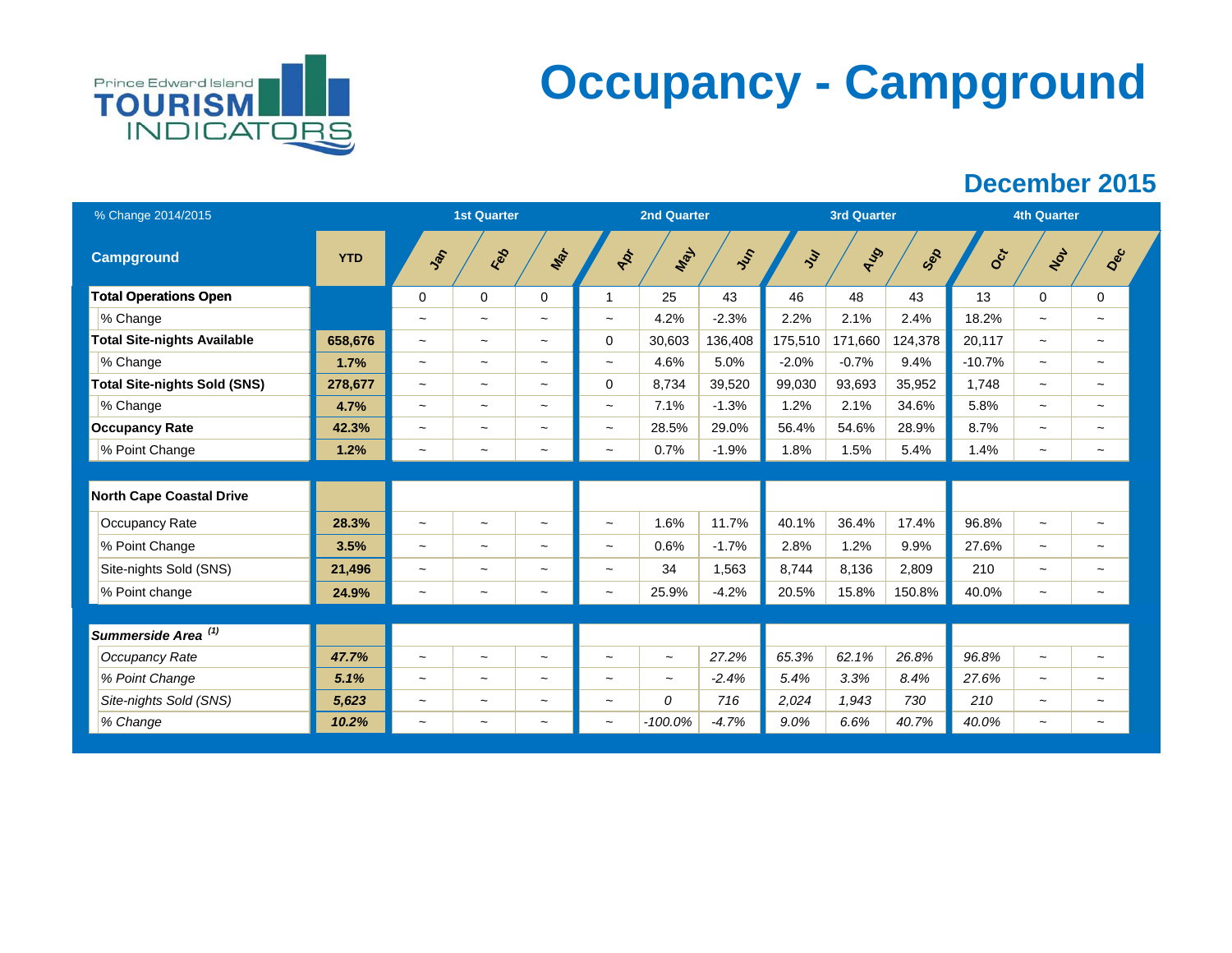

# **Occupancy - Campground**

| % Change 2014/2015                  |            |                           | <b>1st Quarter</b>        |                           |                           | <b>2nd Quarter</b> |         |         | <b>3rd Quarter</b> |         |          | <b>4th Quarter</b>        |                       |  |
|-------------------------------------|------------|---------------------------|---------------------------|---------------------------|---------------------------|--------------------|---------|---------|--------------------|---------|----------|---------------------------|-----------------------|--|
| <b>Campground</b>                   | <b>YTD</b> | Jan                       | Red                       | Max                       | ADT                       | Max                | Jus     | Ju      | ALS                | Sep     | Oct      | Not                       | Dec                   |  |
| <b>Total Operations Open</b>        |            | $\mathbf 0$               | $\mathbf 0$               | 0                         | 1                         | 25                 | 43      | 46      | 48                 | 43      | 13       | $\Omega$                  | $\Omega$              |  |
| % Change                            |            | $\widetilde{\phantom{m}}$ | $\tilde{}$                | $\tilde{}$                | $\widetilde{\phantom{m}}$ | 4.2%               | $-2.3%$ | 2.2%    | 2.1%               | 2.4%    | 18.2%    | $\tilde{\phantom{a}}$     | $\tilde{}$            |  |
| <b>Total Site-nights Available</b>  | 658,676    | $\tilde{}$                | $\tilde{}$                | $\tilde{}$                | 0                         | 30,603             | 136,408 | 175,510 | 171,660            | 124,378 | 20,117   | $\sim$                    | $\tilde{\phantom{a}}$ |  |
| % Change                            | 1.7%       | $\tilde{}$                | $\tilde{}$                | $\tilde{}$                | $\tilde{}$                | 4.6%               | 5.0%    | $-2.0%$ | $-0.7%$            | 9.4%    | $-10.7%$ | $\sim$                    | $\sim$                |  |
| <b>Total Site-nights Sold (SNS)</b> | 278,677    | $\tilde{}$                | $\tilde{}$                | $\tilde{\phantom{a}}$     | $\mathbf 0$               | 8,734              | 39,520  | 99,030  | 93,693             | 35,952  | 1,748    | $\tilde{}$                | $\tilde{}$            |  |
| % Change                            | 4.7%       | $\widetilde{\phantom{m}}$ | $\tilde{}$                | $\tilde{}$                | $\widetilde{\phantom{m}}$ | 7.1%               | $-1.3%$ | 1.2%    | 2.1%               | 34.6%   | 5.8%     | $\tilde{}$                | $\tilde{\phantom{a}}$ |  |
| <b>Occupancy Rate</b>               | 42.3%      | $\tilde{}$                | $\widetilde{\phantom{m}}$ | $\tilde{\phantom{a}}$     | $\overline{\phantom{a}}$  | 28.5%              | 29.0%   | 56.4%   | 54.6%              | 28.9%   | 8.7%     | $\tilde{\phantom{a}}$     | $\tilde{\phantom{a}}$ |  |
| % Point Change                      | 1.2%       | $\tilde{}$                | $\widetilde{\phantom{m}}$ | $\widetilde{\phantom{m}}$ | $\widetilde{\phantom{m}}$ | 0.7%               | $-1.9%$ | 1.8%    | 1.5%               | 5.4%    | 1.4%     | $\widetilde{\phantom{m}}$ | $\tilde{}$            |  |
|                                     |            |                           |                           |                           |                           |                    |         |         |                    |         |          |                           |                       |  |
| <b>North Cape Coastal Drive</b>     |            |                           |                           |                           |                           |                    |         |         |                    |         |          |                           |                       |  |
| Occupancy Rate                      | 28.3%      | $\widetilde{\phantom{m}}$ | $\tilde{}$                | $\tilde{}$                | $\tilde{}$                | 1.6%               | 11.7%   | 40.1%   | 36.4%              | 17.4%   | 96.8%    | $\widetilde{\phantom{m}}$ | $\tilde{}$            |  |
| % Point Change                      | 3.5%       | $\tilde{}$                | $\tilde{}$                | $\widetilde{\phantom{m}}$ | $\tilde{}$                | 0.6%               | $-1.7%$ | 2.8%    | 1.2%               | 9.9%    | 27.6%    | $\tilde{}$                | $\tilde{}$            |  |
| Site-nights Sold (SNS)              | 21,496     | $\tilde{}$                | $\widetilde{\phantom{m}}$ | $\tilde{}$                | $\tilde{}$                | 34                 | 1.563   | 8,744   | 8.136              | 2,809   | 210      | $\tilde{}$                | $\tilde{\phantom{a}}$ |  |
| % Point change                      | 24.9%      | $\tilde{}$                | $\tilde{}$                | $\widetilde{\phantom{m}}$ | $\tilde{\phantom{a}}$     | 25.9%              | $-4.2%$ | 20.5%   | 15.8%              | 150.8%  | 40.0%    | $\tilde{\phantom{a}}$     | $\tilde{\phantom{a}}$ |  |
|                                     |            |                           |                           |                           |                           |                    |         |         |                    |         |          |                           |                       |  |
| Summerside Area <sup>(1)</sup>      |            |                           |                           |                           |                           |                    |         |         |                    |         |          |                           |                       |  |
| Occupancy Rate                      | 47.7%      | $\tilde{}$                | $\widetilde{\phantom{m}}$ | $\widetilde{\phantom{m}}$ | $\tilde{}$                | $\tilde{}$         | 27.2%   | 65.3%   | 62.1%              | 26.8%   | 96.8%    | $\tilde{\phantom{a}}$     | $\tilde{}$            |  |
| % Point Change                      | 5.1%       | $\tilde{}$                | $\tilde{}$                | $\widetilde{\phantom{m}}$ | $\tilde{}$                | $\tilde{}$         | $-2.4%$ | 5.4%    | 3.3%               | 8.4%    | 27.6%    | $\tilde{\phantom{a}}$     | $\tilde{\phantom{a}}$ |  |
| Site-nights Sold (SNS)              | 5,623      | $\tilde{}$                | $\widetilde{\phantom{m}}$ | $\tilde{}$                | $\overline{ }$            | 0                  | 716     | 2,024   | 1,943              | 730     | 210      | $\tilde{\phantom{a}}$     | $\tilde{}$            |  |
| % Change                            | 10.2%      | $\tilde{}$                | $\tilde{}$                | $\widetilde{\phantom{m}}$ | $\tilde{}$                | $-100.0%$          | $-4.7%$ | 9.0%    | 6.6%               | 40.7%   | 40.0%    | $\tilde{}$                | $\tilde{}$            |  |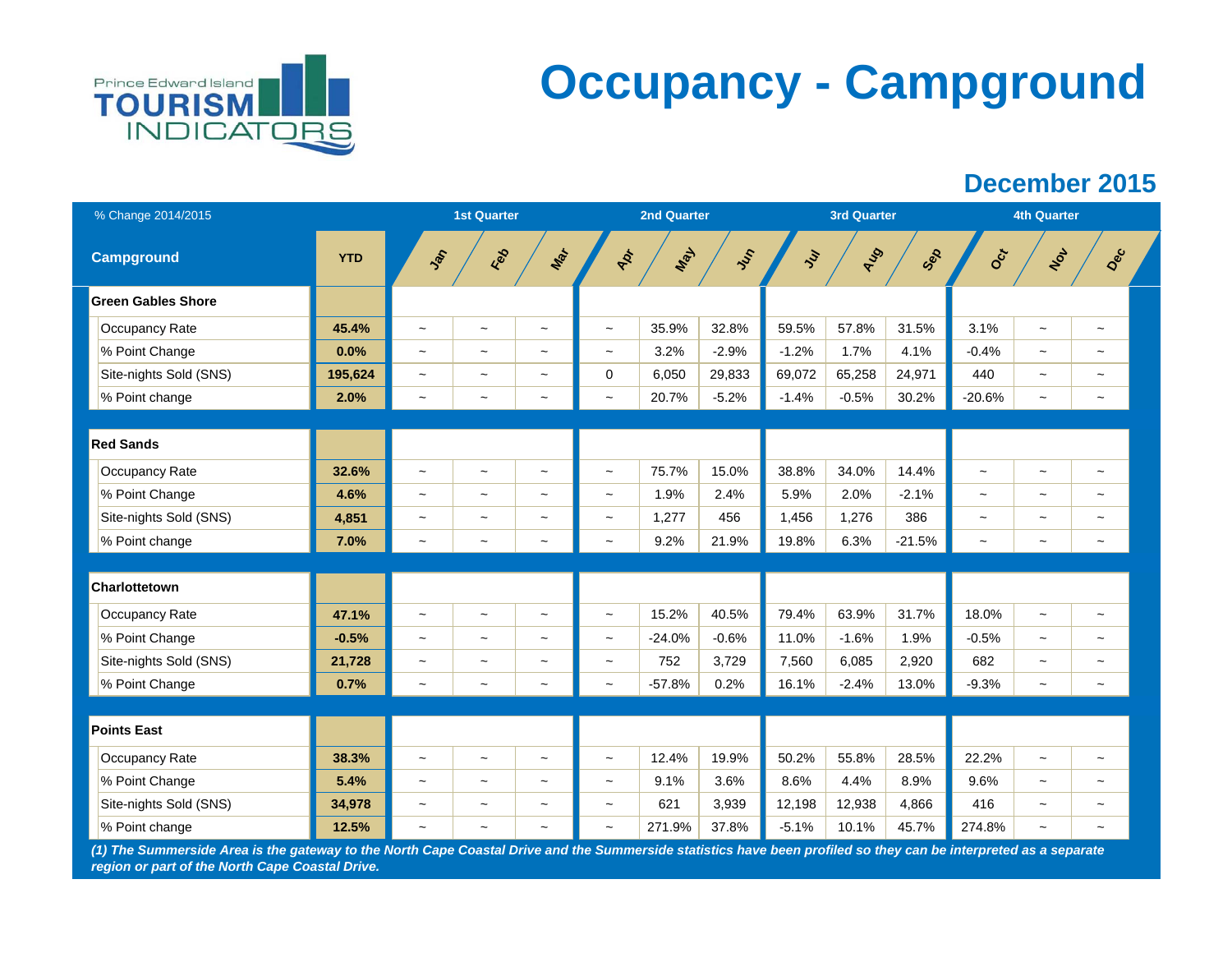

# **Occupancy - Campground**

## **December 2015**

| % Change 2014/2015        |            |                          | <b>1st Quarter</b>        |                           |                           | 2nd Quarter |         |         | <b>3rd Quarter</b> |          |                           | <b>4th Quarter</b>        |                           |  |
|---------------------------|------------|--------------------------|---------------------------|---------------------------|---------------------------|-------------|---------|---------|--------------------|----------|---------------------------|---------------------------|---------------------------|--|
| <b>Campground</b>         | <b>YTD</b> | Jan                      | Feb                       | Mar                       | AD+                       | Max         | Just    | Jul     | AUD                | Sep      | Oct                       | Not                       | Dec                       |  |
| <b>Green Gables Shore</b> |            |                          |                           |                           |                           |             |         |         |                    |          |                           |                           |                           |  |
| Occupancy Rate            | 45.4%      | $\tilde{}$               | $\widetilde{\phantom{m}}$ | $\tilde{\phantom{a}}$     | $\widetilde{\phantom{m}}$ | 35.9%       | 32.8%   | 59.5%   | 57.8%              | 31.5%    | 3.1%                      | $\tilde{}$                | $\widetilde{\phantom{m}}$ |  |
| % Point Change            | 0.0%       | $\tilde{}$               | $\widetilde{\phantom{m}}$ | $\thicksim$               | $\tilde{\phantom{a}}$     | 3.2%        | $-2.9%$ | $-1.2%$ | 1.7%               | 4.1%     | $-0.4%$                   | $\tilde{}$                | $\widetilde{\phantom{m}}$ |  |
| Site-nights Sold (SNS)    | 195,624    | $\tilde{}$               | $\widetilde{\phantom{m}}$ | $\widetilde{\phantom{m}}$ | $\mathbf 0$               | 6,050       | 29,833  | 69,072  | 65,258             | 24,971   | 440                       | $\tilde{}$                | $\widetilde{\phantom{m}}$ |  |
| % Point change            | 2.0%       | $\overline{\phantom{a}}$ | $\tilde{}$                | $\widetilde{\phantom{m}}$ | $\tilde{\phantom{a}}$     | 20.7%       | $-5.2%$ | $-1.4%$ | $-0.5%$            | 30.2%    | $-20.6%$                  | $\tilde{\phantom{a}}$     | $\tilde{}$                |  |
|                           |            |                          |                           |                           |                           |             |         |         |                    |          |                           |                           |                           |  |
| <b>Red Sands</b>          |            |                          |                           |                           |                           |             |         |         |                    |          |                           |                           |                           |  |
| Occupancy Rate            | 32.6%      | $\tilde{}$               | $\widetilde{\phantom{m}}$ | $\widetilde{\phantom{m}}$ | $\widetilde{\phantom{m}}$ | 75.7%       | 15.0%   | 38.8%   | 34.0%              | 14.4%    | $\widetilde{\phantom{m}}$ | $\tilde{}$                | $\widetilde{\phantom{m}}$ |  |
| % Point Change            | 4.6%       | $\tilde{\phantom{a}}$    | $\tilde{}$                | $\widetilde{\phantom{m}}$ | $\tilde{\phantom{a}}$     | 1.9%        | 2.4%    | 5.9%    | 2.0%               | $-2.1%$  | $\sim$                    | $\tilde{\phantom{a}}$     | $\tilde{\phantom{a}}$     |  |
| Site-nights Sold (SNS)    | 4,851      | $\tilde{}$               | $\widetilde{\phantom{m}}$ | $\tilde{}$                | $\widetilde{\phantom{m}}$ | 1,277       | 456     | 1,456   | 1,276              | 386      | $\tilde{\phantom{a}}$     | $\tilde{\phantom{a}}$     | $\widetilde{\phantom{m}}$ |  |
| % Point change            | 7.0%       | $\tilde{}$               | $\tilde{}$                | $\tilde{}$                | $\tilde{}$                | 9.2%        | 21.9%   | 19.8%   | 6.3%               | $-21.5%$ | $\widetilde{\phantom{m}}$ | $\tilde{\phantom{a}}$     | $\tilde{}$                |  |
|                           |            |                          |                           |                           |                           |             |         |         |                    |          |                           |                           |                           |  |
| Charlottetown             |            |                          |                           |                           |                           |             |         |         |                    |          |                           |                           |                           |  |
| Occupancy Rate            | 47.1%      | $\tilde{}$               | $\widetilde{\phantom{m}}$ | $\widetilde{\phantom{m}}$ | $\widetilde{\phantom{m}}$ | 15.2%       | 40.5%   | 79.4%   | 63.9%              | 31.7%    | 18.0%                     | $\tilde{}$                | $\tilde{\phantom{a}}$     |  |
| % Point Change            | $-0.5%$    | $\tilde{}$               | $\tilde{}$                | $\tilde{\phantom{a}}$     | $\tilde{\phantom{a}}$     | $-24.0%$    | $-0.6%$ | 11.0%   | $-1.6%$            | 1.9%     | $-0.5%$                   | $\tilde{}$                | $\tilde{}$                |  |
| Site-nights Sold (SNS)    | 21,728     | $\tilde{}$               | $\widetilde{\phantom{m}}$ | $\widetilde{\phantom{m}}$ | $\widetilde{\phantom{m}}$ | 752         | 3,729   | 7,560   | 6,085              | 2,920    | 682                       | $\tilde{}$                | $\tilde{}$                |  |
| % Point Change            | 0.7%       | $\tilde{}$               | $\tilde{}$                | $\tilde{}$                | $\tilde{}$                | $-57.8%$    | 0.2%    | 16.1%   | $-2.4%$            | 13.0%    | $-9.3%$                   | $\tilde{}$                | $\tilde{}$                |  |
|                           |            |                          |                           |                           |                           |             |         |         |                    |          |                           |                           |                           |  |
| <b>Points East</b>        |            |                          |                           |                           |                           |             |         |         |                    |          |                           |                           |                           |  |
| Occupancy Rate            | 38.3%      | $\tilde{}$               | $\widetilde{\phantom{m}}$ | $\widetilde{\phantom{m}}$ | $\tilde{}$                | 12.4%       | 19.9%   | 50.2%   | 55.8%              | 28.5%    | 22.2%                     | $\tilde{}$                | $\tilde{}$                |  |
| % Point Change            | 5.4%       | $\tilde{}$               | $\widetilde{\phantom{m}}$ | $\widetilde{\phantom{m}}$ | $\widetilde{\phantom{m}}$ | 9.1%        | 3.6%    | 8.6%    | 4.4%               | 8.9%     | 9.6%                      | $\widetilde{\phantom{m}}$ | $\widetilde{\phantom{m}}$ |  |
| Site-nights Sold (SNS)    | 34,978     | $\tilde{}$               | $\widetilde{\phantom{m}}$ | $\widetilde{\phantom{m}}$ | $\tilde{}$                | 621         | 3,939   | 12,198  | 12,938             | 4,866    | 416                       | $\tilde{}$                | $\widetilde{\phantom{m}}$ |  |
| % Point change            | 12.5%      | $\tilde{\phantom{a}}$    | $\tilde{}$                | $\thicksim$               | $\tilde{\phantom{a}}$     | 271.9%      | 37.8%   | $-5.1%$ | 10.1%              | 45.7%    | 274.8%                    | $\tilde{}$                | $\tilde{\phantom{a}}$     |  |

*(1) The Summerside Area is the gateway to the North Cape Coastal Drive and the Summerside statistics have been profiled so they can be interpreted as a separate region or part of the North Cape Coastal Drive.*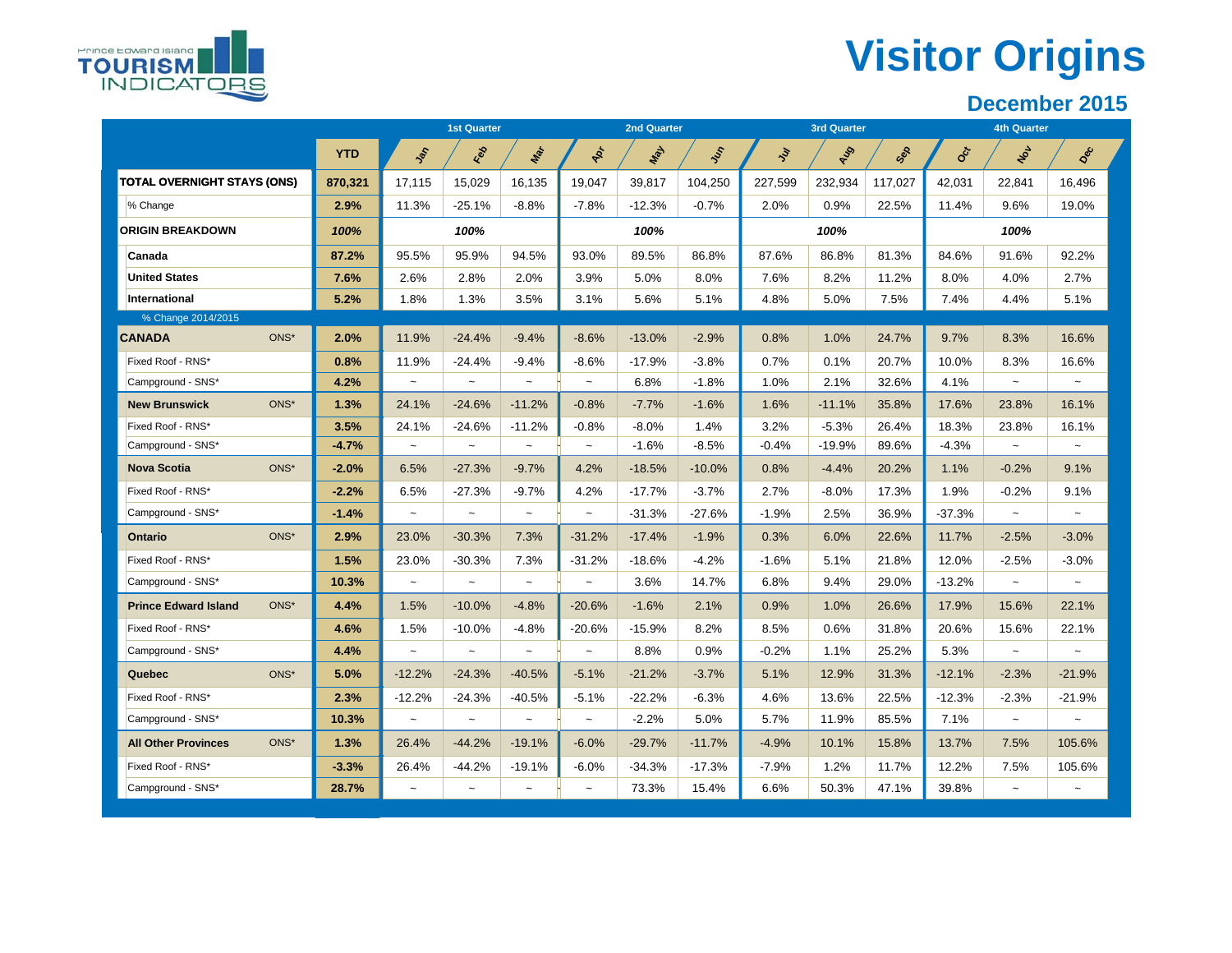# **Visitor Origins**

|                                     |            |                          | <b>1st Quarter</b>   |                           |                       | <b>2nd Quarter</b> |          |         | <b>3rd Quarter</b> |         |          | <b>4th Quarter</b>        |                       |
|-------------------------------------|------------|--------------------------|----------------------|---------------------------|-----------------------|--------------------|----------|---------|--------------------|---------|----------|---------------------------|-----------------------|
|                                     | <b>YTD</b> | $\frac{1}{2}$            | Red                  | Mar                       | Apr                   | Max                | ふ        | ş       | AUS                | Sep     | Oct      | Not                       | Dec                   |
| <b>TOTAL OVERNIGHT STAYS (ONS)</b>  | 870,321    | 17,115                   | 15,029               | 16,135                    | 19,047                | 39,817             | 104,250  | 227,599 | 232,934            | 117,027 | 42,031   | 22,841                    | 16,496                |
| % Change                            | 2.9%       | 11.3%                    | $-25.1%$             | $-8.8%$                   | $-7.8%$               | $-12.3%$           | $-0.7%$  | 2.0%    | 0.9%               | 22.5%   | 11.4%    | 9.6%                      | 19.0%                 |
| <b>ORIGIN BREAKDOWN</b>             | 100%       |                          | 100%                 |                           |                       | 100%               |          |         | 100%               |         |          | 100%                      |                       |
| Canada                              | 87.2%      | 95.5%                    | 95.9%                | 94.5%                     | 93.0%                 | 89.5%              | 86.8%    | 87.6%   | 86.8%              | 81.3%   | 84.6%    | 91.6%                     | 92.2%                 |
| <b>United States</b>                | 7.6%       | 2.6%                     | 2.8%                 | 2.0%                      | 3.9%                  | 5.0%               | 8.0%     | 7.6%    | 8.2%               | 11.2%   | 8.0%     | 4.0%                      | 2.7%                  |
| International                       | 5.2%       | 1.8%                     | 1.3%                 | 3.5%                      | 3.1%                  | 5.6%               | 5.1%     | 4.8%    | 5.0%               | 7.5%    | 7.4%     | 4.4%                      | 5.1%                  |
| % Change 2014/2015                  |            |                          |                      |                           |                       |                    |          |         |                    |         |          |                           |                       |
| <b>CANADA</b><br>ONS*               | 2.0%       | 11.9%                    | $-24.4%$             | $-9.4%$                   | $-8.6%$               | $-13.0%$           | $-2.9%$  | 0.8%    | 1.0%               | 24.7%   | 9.7%     | 8.3%                      | 16.6%                 |
| Fixed Roof - RNS*                   | 0.8%       | 11.9%                    | $-24.4%$             | $-9.4%$                   | $-8.6%$               | $-17.9%$           | $-3.8%$  | 0.7%    | 0.1%               | 20.7%   | 10.0%    | 8.3%                      | 16.6%                 |
| Campground - SNS*                   | 4.2%       | $\sim$                   | $\sim$               | $\sim$                    | $\tilde{\phantom{a}}$ | 6.8%               | $-1.8%$  | 1.0%    | 2.1%               | 32.6%   | 4.1%     | $\tilde{\phantom{a}}$     | $\tilde{}$            |
| <b>New Brunswick</b><br>ONS*        | 1.3%       | 24.1%                    | $-24.6%$             | $-11.2%$                  | $-0.8%$               | $-7.7%$            | $-1.6%$  | 1.6%    | $-11.1%$           | 35.8%   | 17.6%    | 23.8%                     | 16.1%                 |
| Fixed Roof - RNS*                   | 3.5%       | 24.1%                    | $-24.6%$             | $-11.2%$                  | $-0.8%$               | $-8.0%$            | 1.4%     | 3.2%    | $-5.3%$            | 26.4%   | 18.3%    | 23.8%                     | 16.1%                 |
| Campground - SNS*                   | $-4.7%$    | $\sim$                   | $\sim$               | $\sim$                    | $\tilde{\phantom{a}}$ | $-1.6%$            | $-8.5%$  | $-0.4%$ | $-19.9%$           | 89.6%   | $-4.3%$  | $\tilde{}$                | $\tilde{\phantom{a}}$ |
| <b>Nova Scotia</b><br>ONS*          | $-2.0%$    | 6.5%                     | $-27.3%$             | $-9.7%$                   | 4.2%                  | $-18.5%$           | $-10.0%$ | 0.8%    | $-4.4%$            | 20.2%   | 1.1%     | $-0.2%$                   | 9.1%                  |
| Fixed Roof - RNS*                   | $-2.2%$    | 6.5%                     | $-27.3%$             | $-9.7%$                   | 4.2%                  | $-17.7%$           | $-3.7%$  | 2.7%    | $-8.0%$            | 17.3%   | 1.9%     | $-0.2%$                   | 9.1%                  |
| Campground - SNS*                   | $-1.4%$    | $\overline{\phantom{a}}$ | $\ddot{\phantom{0}}$ | $\tilde{}$                | $\tilde{\phantom{a}}$ | $-31.3%$           | $-27.6%$ | $-1.9%$ | 2.5%               | 36.9%   | $-37.3%$ | $\tilde{\phantom{a}}$     |                       |
| ONS*<br><b>Ontario</b>              | 2.9%       | 23.0%                    | $-30.3%$             | 7.3%                      | $-31.2%$              | $-17.4%$           | $-1.9%$  | 0.3%    | 6.0%               | 22.6%   | 11.7%    | $-2.5%$                   | $-3.0%$               |
| Fixed Roof - RNS*                   | 1.5%       | 23.0%                    | $-30.3%$             | 7.3%                      | $-31.2%$              | $-18.6%$           | $-4.2%$  | $-1.6%$ | 5.1%               | 21.8%   | 12.0%    | $-2.5%$                   | $-3.0%$               |
| Campground - SNS*                   | 10.3%      | $\tilde{}$               | $\tilde{}$           | $\widetilde{\phantom{m}}$ | $\tilde{}$            | 3.6%               | 14.7%    | 6.8%    | 9.4%               | 29.0%   | $-13.2%$ | $\thicksim$               | $\tilde{}$            |
| ONS*<br><b>Prince Edward Island</b> | 4.4%       | 1.5%                     | $-10.0%$             | $-4.8%$                   | $-20.6%$              | $-1.6%$            | 2.1%     | 0.9%    | 1.0%               | 26.6%   | 17.9%    | 15.6%                     | 22.1%                 |
| Fixed Roof - RNS*                   | 4.6%       | 1.5%                     | $-10.0%$             | $-4.8%$                   | $-20.6%$              | $-15.9%$           | 8.2%     | 8.5%    | 0.6%               | 31.8%   | 20.6%    | 15.6%                     | 22.1%                 |
| Campground - SNS*                   | 4.4%       | $\overline{\phantom{a}}$ | $\tilde{}$           | $\tilde{}$                | $\tilde{}$            | 8.8%               | 0.9%     | $-0.2%$ | 1.1%               | 25.2%   | 5.3%     | $\tilde{}$                |                       |
| ONS*<br>Quebec                      | 5.0%       | $-12.2%$                 | $-24.3%$             | $-40.5%$                  | $-5.1%$               | $-21.2%$           | $-3.7%$  | 5.1%    | 12.9%              | 31.3%   | $-12.1%$ | $-2.3%$                   | $-21.9%$              |
| Fixed Roof - RNS*                   | 2.3%       | $-12.2%$                 | $-24.3%$             | $-40.5%$                  | $-5.1%$               | $-22.2%$           | $-6.3%$  | 4.6%    | 13.6%              | 22.5%   | $-12.3%$ | $-2.3%$                   | $-21.9%$              |
| Campground - SNS*                   | 10.3%      |                          | $\tilde{}$           | $\tilde{}$                | $\ddot{\phantom{1}}$  | $-2.2%$            | 5.0%     | 5.7%    | 11.9%              | 85.5%   | 7.1%     | $\widetilde{\phantom{m}}$ | $\tilde{}$            |
| <b>All Other Provinces</b><br>ONS*  | 1.3%       | 26.4%                    | $-44.2%$             | $-19.1%$                  | $-6.0%$               | $-29.7%$           | $-11.7%$ | $-4.9%$ | 10.1%              | 15.8%   | 13.7%    | 7.5%                      | 105.6%                |
| Fixed Roof - RNS*                   | $-3.3%$    | 26.4%                    | $-44.2%$             | $-19.1%$                  | $-6.0%$               | $-34.3%$           | $-17.3%$ | $-7.9%$ | 1.2%               | 11.7%   | 12.2%    | 7.5%                      | 105.6%                |
| Campground - SNS*                   | 28.7%      |                          | $\tilde{}$           |                           | $\tilde{}$            | 73.3%              | 15.4%    | 6.6%    | 50.3%              | 47.1%   | 39.8%    |                           |                       |

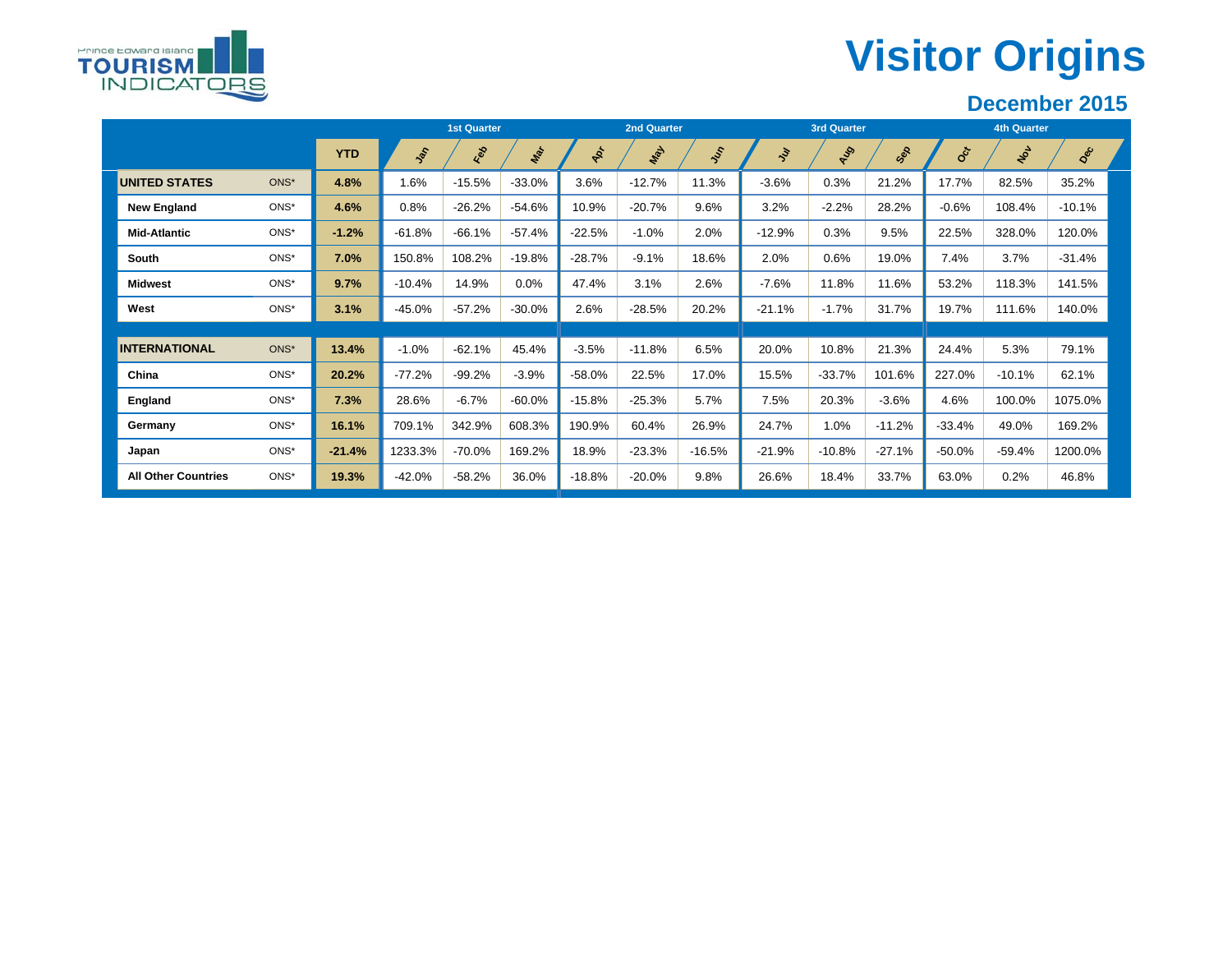# **Visitor Origins**



Prince Edward Island **TOURISM** 

**INDICATORS** 

|                            |      |            |               | <b>1st Quarter</b> |           |                     | <b>2nd Quarter</b> |          |            | <b>3rd Quarter</b> |          |                           | <b>4th Quarter</b> |          |
|----------------------------|------|------------|---------------|--------------------|-----------|---------------------|--------------------|----------|------------|--------------------|----------|---------------------------|--------------------|----------|
|                            |      | <b>YTD</b> | $\frac{1}{2}$ | Red                | Mar       | $\boldsymbol{\phi}$ | May                | Jer.     | $\ddot{s}$ | Aug                | Sep      | $\mathbf{e}^{\mathbf{c}}$ | Not                | Dec      |
| <b>UNITED STATES</b>       | ONS* | 4.8%       | 1.6%          | $-15.5%$           | $-33.0%$  | 3.6%                | $-12.7%$           | 11.3%    | $-3.6%$    | 0.3%               | 21.2%    | 17.7%                     | 82.5%              | 35.2%    |
| <b>New England</b>         | ONS* | 4.6%       | 0.8%          | $-26.2%$           | $-54.6%$  | 10.9%               | $-20.7%$           | 9.6%     | 3.2%       | $-2.2%$            | 28.2%    | $-0.6%$                   | 108.4%             | $-10.1%$ |
| <b>Mid-Atlantic</b>        | ONS* | $-1.2%$    | $-61.8%$      | $-66.1%$           | $-57.4%$  | $-22.5%$            | $-1.0%$            | 2.0%     | $-12.9%$   | 0.3%               | 9.5%     | 22.5%                     | 328.0%             | 120.0%   |
| South                      | ONS* | 7.0%       | 150.8%        | 108.2%             | $-19.8%$  | $-28.7%$            | $-9.1%$            | 18.6%    | 2.0%       | 0.6%               | 19.0%    | 7.4%                      | 3.7%               | $-31.4%$ |
| <b>Midwest</b>             | ONS* | 9.7%       | $-10.4%$      | 14.9%              | 0.0%      | 47.4%               | 3.1%               | 2.6%     | $-7.6%$    | 11.8%              | 11.6%    | 53.2%                     | 118.3%             | 141.5%   |
| West                       | ONS* | 3.1%       | $-45.0%$      | $-57.2%$           | $-30.0\%$ | 2.6%                | $-28.5%$           | 20.2%    | $-21.1%$   | $-1.7%$            | 31.7%    | 19.7%                     | 111.6%             | 140.0%   |
|                            |      |            |               |                    |           |                     |                    |          |            |                    |          |                           |                    |          |
| <b>INTERNATIONAL</b>       | ONS* | 13.4%      | $-1.0%$       | $-62.1%$           | 45.4%     | $-3.5%$             | $-11.8%$           | 6.5%     | 20.0%      | 10.8%              | 21.3%    | 24.4%                     | 5.3%               | 79.1%    |
| China                      | ONS* | 20.2%      | $-77.2%$      | $-99.2%$           | $-3.9%$   | $-58.0%$            | 22.5%              | 17.0%    | 15.5%      | $-33.7%$           | 101.6%   | 227.0%                    | $-10.1%$           | 62.1%    |
| England                    | ONS* | 7.3%       | 28.6%         | $-6.7%$            | $-60.0\%$ | $-15.8%$            | $-25.3%$           | 5.7%     | 7.5%       | 20.3%              | $-3.6%$  | 4.6%                      | 100.0%             | 1075.0%  |
| Germany                    | ONS* | 16.1%      | 709.1%        | 342.9%             | 608.3%    | 190.9%              | 60.4%              | 26.9%    | 24.7%      | 1.0%               | $-11.2%$ | $-33.4%$                  | 49.0%              | 169.2%   |
| Japan                      | ONS* | $-21.4%$   | 1233.3%       | $-70.0%$           | 169.2%    | 18.9%               | $-23.3%$           | $-16.5%$ | $-21.9%$   | $-10.8%$           | $-27.1%$ | $-50.0%$                  | $-59.4%$           | 1200.0%  |
| <b>All Other Countries</b> | ONS* | 19.3%      | $-42.0%$      | $-58.2%$           | 36.0%     | $-18.8%$            | $-20.0%$           | 9.8%     | 26.6%      | 18.4%              | 33.7%    | 63.0%                     | 0.2%               | 46.8%    |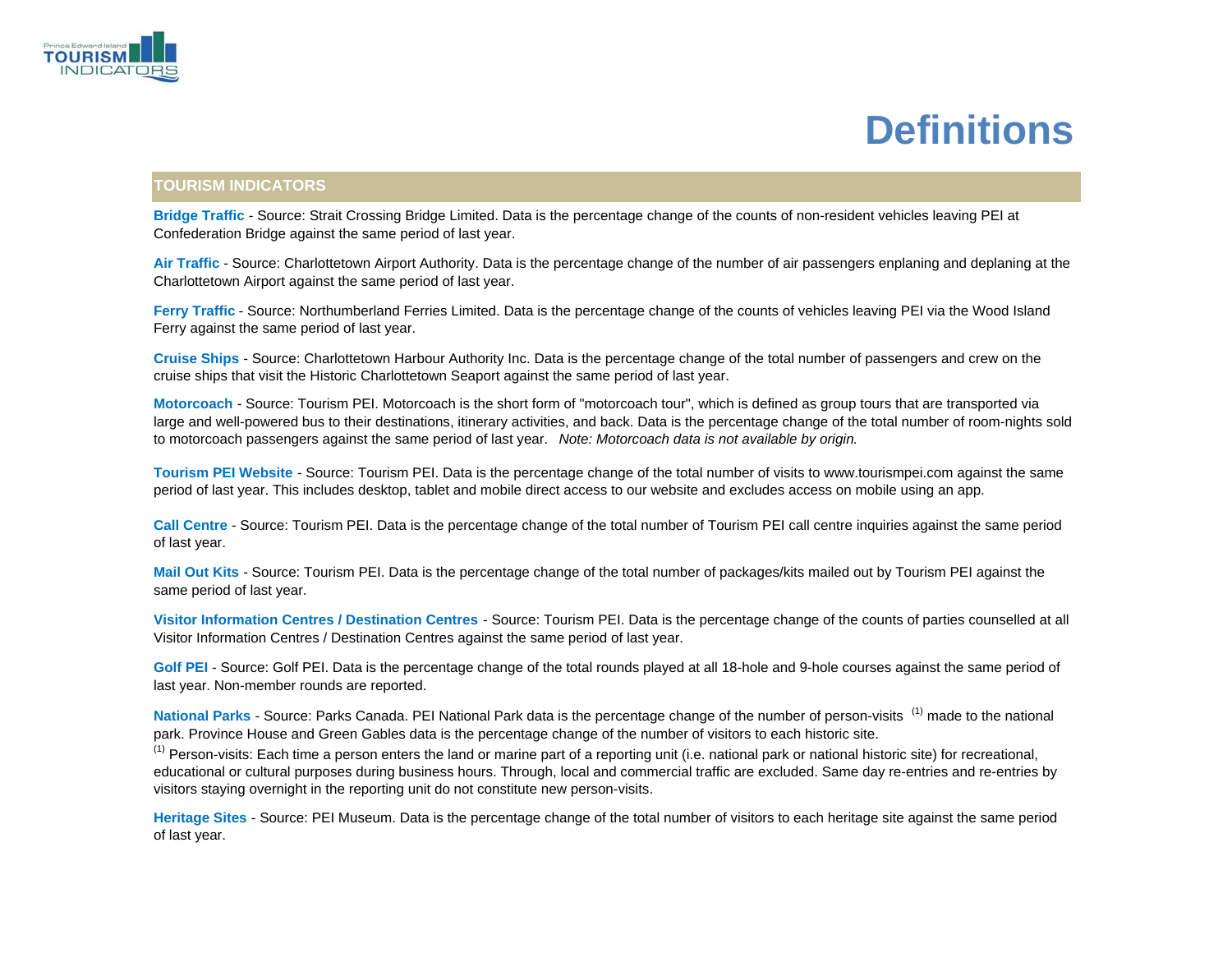

# **Definitions**

#### **TOURISM INDICATORS**

**Bridge Traffic** - Source: Strait Crossing Bridge Limited. Data is the percentage change of the counts of non-resident vehicles leaving PEI at Confederation Bridge against the same period of last year.

**Air Traffic** - Source: Charlottetown Airport Authority. Data is the percentage change of the number of air passengers enplaning and deplaning at the Charlottetown Airport against the same period of last year.

**Ferry Traffic** - Source: Northumberland Ferries Limited. Data is the percentage change of the counts of vehicles leaving PEI via the Wood Island Ferry against the same period of last year.

**Cruise Ships** - Source: Charlottetown Harbour Authority Inc. Data is the percentage change of the total number of passengers and crew on the cruise ships that visit the Historic Charlottetown Seaport against the same period of last year.

**Motorcoach** - Source: Tourism PEI. Motorcoach is the short form of "motorcoach tour", which is defined as group tours that are transported via large and well-powered bus to their destinations, itinerary activities, and back. Data is the percentage change of the total number of room-nights sold to motorcoach passengers against the same period of last year. *Note: Motorcoach data is not available by origin.*

**Tourism PEI Website** - Source: Tourism PEI. Data is the percentage change of the total number of visits to www.tourismpei.com against the same period of last year. This includes desktop, tablet and mobile direct access to our website and excludes access on mobile using an app.

**Call Centre** - Source: Tourism PEI. Data is the percentage change of the total number of Tourism PEI call centre inquiries against the same period of last year.

**Mail Out Kits** - Source: Tourism PEI. Data is the percentage change of the total number of packages/kits mailed out by Tourism PEI against the same period of last year.

**Visitor Information Centres / Destination Centres** - Source: Tourism PEI. Data is the percentage change of the counts of parties counselled at all Visitor Information Centres / Destination Centres against the same period of last year.

**Golf PEI** - Source: Golf PEI. Data is the percentage change of the total rounds played at all 18-hole and 9-hole courses against the same period of last year. Non-member rounds are reported.

National Parks - Source: Parks Canada. PEI National Park data is the percentage change of the number of person-visits <sup>(1)</sup> made to the national park. Province House and Green Gables data is the percentage change of the number of visitors to each historic site.

<sup>(1)</sup> Person-visits: Each time a person enters the land or marine part of a reporting unit (i.e. national park or national historic site) for recreational, educational or cultural purposes during business hours. Through, local and commercial traffic are excluded. Same day re-entries and re-entries by visitors staying overnight in the reporting unit do not constitute new person-visits.

**Heritage Sites** - Source: PEI Museum. Data is the percentage change of the total number of visitors to each heritage site against the same period of last year.